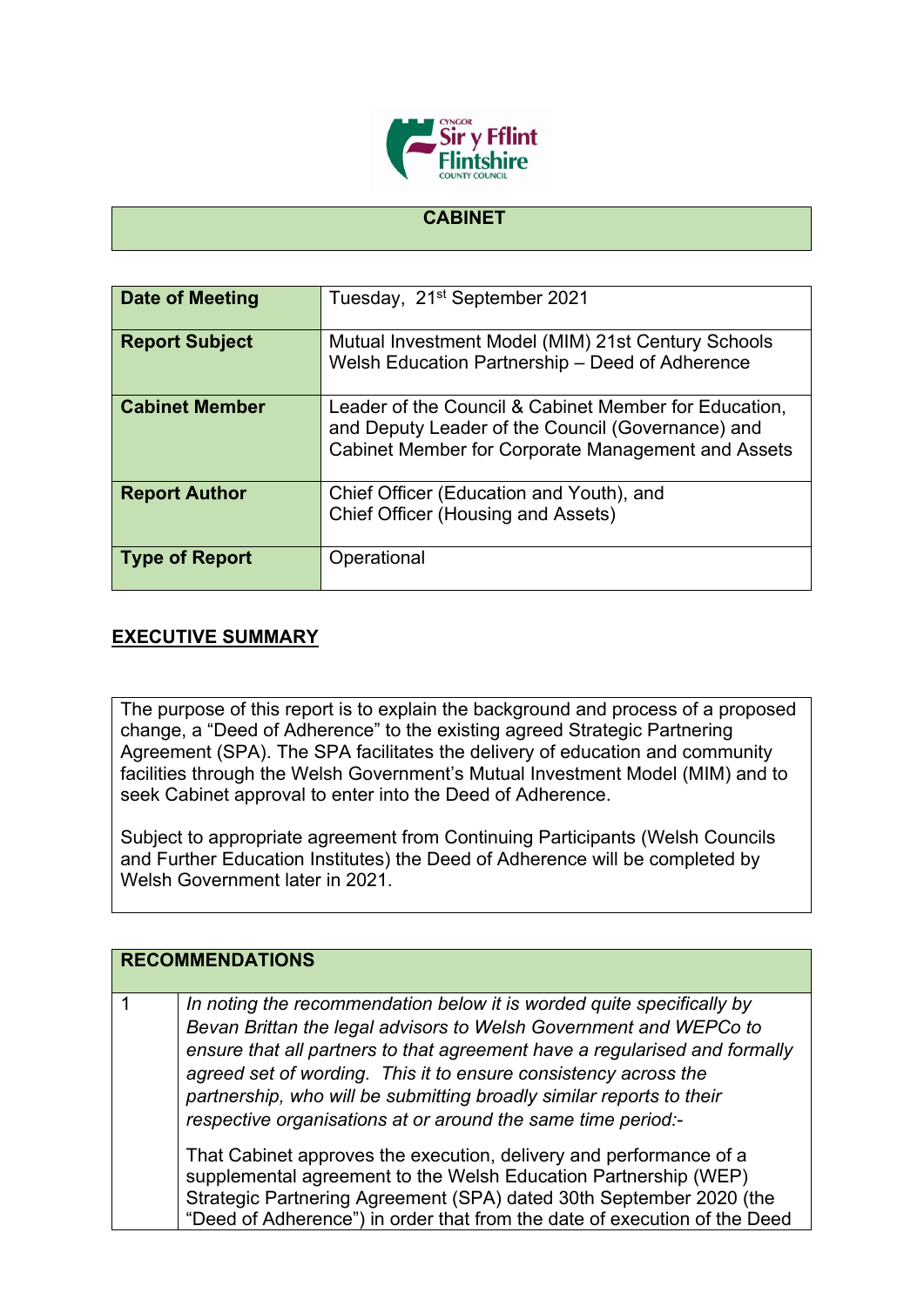

## **CABINET**

| Date of Meeting       | Tuesday, 21 <sup>st</sup> September 2021                                                                                                                         |
|-----------------------|------------------------------------------------------------------------------------------------------------------------------------------------------------------|
| <b>Report Subject</b> | Mutual Investment Model (MIM) 21st Century Schools<br>Welsh Education Partnership - Deed of Adherence                                                            |
| <b>Cabinet Member</b> | Leader of the Council & Cabinet Member for Education,<br>and Deputy Leader of the Council (Governance) and<br>Cabinet Member for Corporate Management and Assets |
| <b>Report Author</b>  | Chief Officer (Education and Youth), and<br>Chief Officer (Housing and Assets)                                                                                   |
| <b>Type of Report</b> | Operational                                                                                                                                                      |

## **EXECUTIVE SUMMARY**

The purpose of this report is to explain the background and process of a proposed change, a "Deed of Adherence" to the existing agreed Strategic Partnering Agreement (SPA). The SPA facilitates the delivery of education and community facilities through the Welsh Government's Mutual Investment Model (MIM) and to seek Cabinet approval to enter into the Deed of Adherence.

Subject to appropriate agreement from Continuing Participants (Welsh Councils and Further Education Institutes) the Deed of Adherence will be completed by Welsh Government later in 2021.

| <b>RECOMMENDATIONS</b> |                                                                                                                                                                                                                                                                                                                                                                                                                                     |
|------------------------|-------------------------------------------------------------------------------------------------------------------------------------------------------------------------------------------------------------------------------------------------------------------------------------------------------------------------------------------------------------------------------------------------------------------------------------|
|                        | In noting the recommendation below it is worded quite specifically by<br>Bevan Brittan the legal advisors to Welsh Government and WEPCo to<br>ensure that all partners to that agreement have a regularised and formally<br>agreed set of wording. This it to ensure consistency across the<br>partnership, who will be submitting broadly similar reports to their<br>respective organisations at or around the same time period:- |
|                        | That Cabinet approves the execution, delivery and performance of a<br>supplemental agreement to the Welsh Education Partnership (WEP)<br>Strategic Partnering Agreement (SPA) dated 30th September 2020 (the<br>"Deed of Adherence") in order that from the date of execution of the Deed                                                                                                                                           |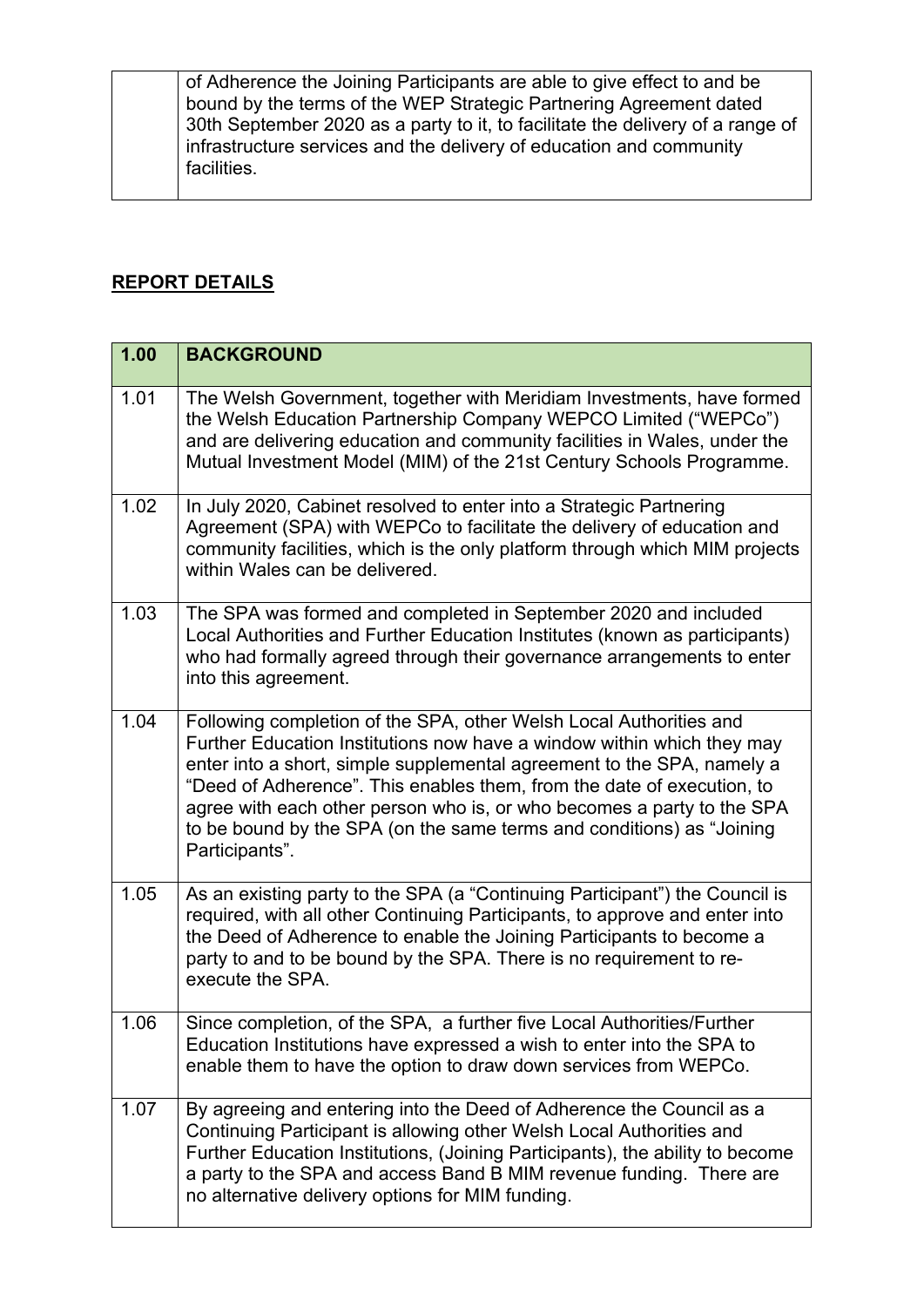of Adherence the Joining Participants are able to give effect to and be bound by the terms of the WEP Strategic Partnering Agreement dated 30th September 2020 as a party to it, to facilitate the delivery of a range of infrastructure services and the delivery of education and community facilities.

## **REPORT DETAILS**

| 1.00 | <b>BACKGROUND</b>                                                                                                                                                                                                                                                                                                                                                                                                                                                     |
|------|-----------------------------------------------------------------------------------------------------------------------------------------------------------------------------------------------------------------------------------------------------------------------------------------------------------------------------------------------------------------------------------------------------------------------------------------------------------------------|
| 1.01 | The Welsh Government, together with Meridiam Investments, have formed<br>the Welsh Education Partnership Company WEPCO Limited ("WEPCo")<br>and are delivering education and community facilities in Wales, under the<br>Mutual Investment Model (MIM) of the 21st Century Schools Programme.                                                                                                                                                                         |
| 1.02 | In July 2020, Cabinet resolved to enter into a Strategic Partnering<br>Agreement (SPA) with WEPCo to facilitate the delivery of education and<br>community facilities, which is the only platform through which MIM projects<br>within Wales can be delivered.                                                                                                                                                                                                        |
| 1.03 | The SPA was formed and completed in September 2020 and included<br>Local Authorities and Further Education Institutes (known as participants)<br>who had formally agreed through their governance arrangements to enter<br>into this agreement.                                                                                                                                                                                                                       |
| 1.04 | Following completion of the SPA, other Welsh Local Authorities and<br>Further Education Institutions now have a window within which they may<br>enter into a short, simple supplemental agreement to the SPA, namely a<br>"Deed of Adherence". This enables them, from the date of execution, to<br>agree with each other person who is, or who becomes a party to the SPA<br>to be bound by the SPA (on the same terms and conditions) as "Joining<br>Participants". |
| 1.05 | As an existing party to the SPA (a "Continuing Participant") the Council is<br>required, with all other Continuing Participants, to approve and enter into<br>the Deed of Adherence to enable the Joining Participants to become a<br>party to and to be bound by the SPA. There is no requirement to re-<br>execute the SPA.                                                                                                                                         |
| 1.06 | Since completion, of the SPA, a further five Local Authorities/Further<br>Education Institutions have expressed a wish to enter into the SPA to<br>enable them to have the option to draw down services from WEPCo.                                                                                                                                                                                                                                                   |
| 1.07 | By agreeing and entering into the Deed of Adherence the Council as a<br>Continuing Participant is allowing other Welsh Local Authorities and<br>Further Education Institutions, (Joining Participants), the ability to become<br>a party to the SPA and access Band B MIM revenue funding. There are<br>no alternative delivery options for MIM funding.                                                                                                              |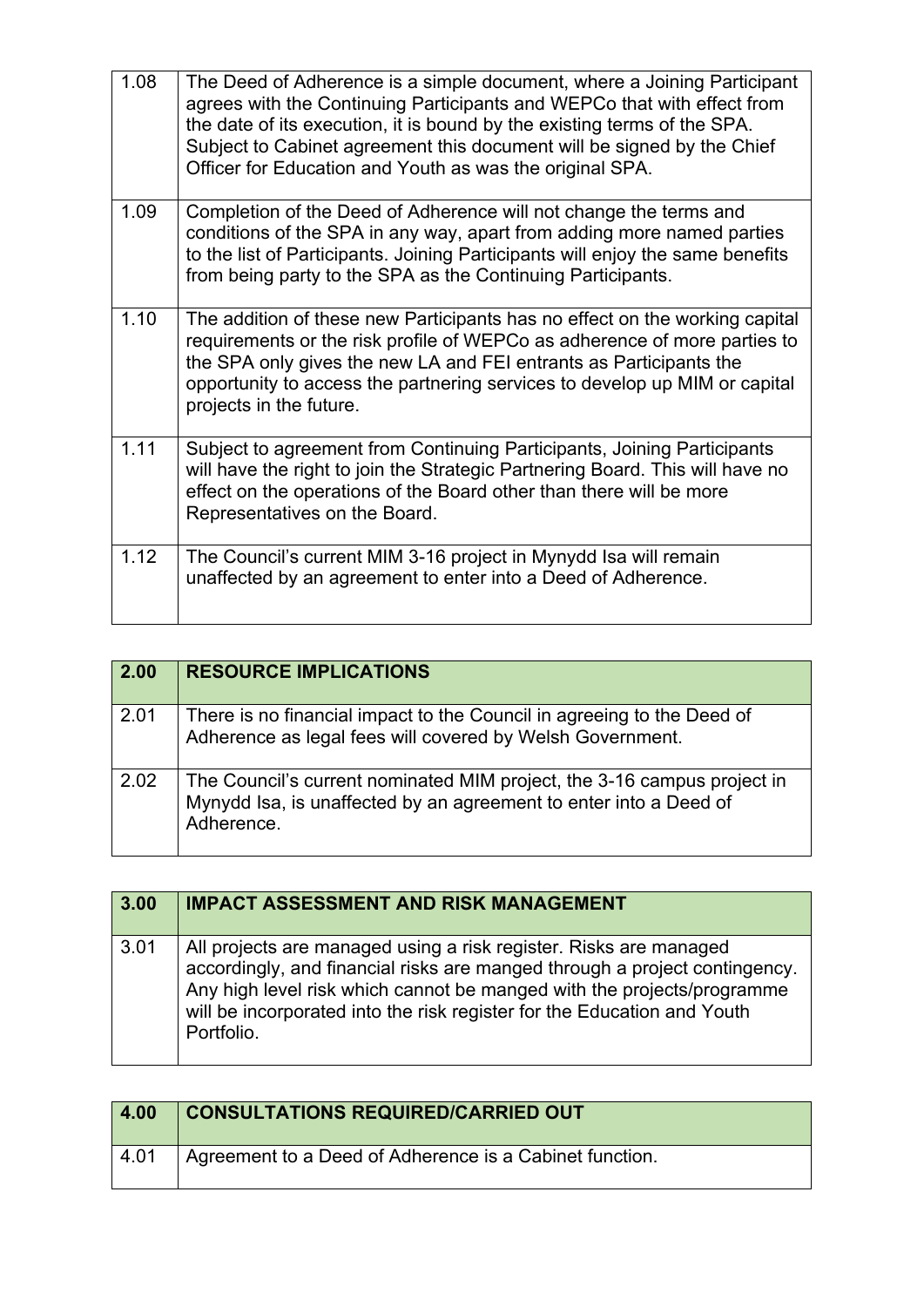| 1.08 | The Deed of Adherence is a simple document, where a Joining Participant<br>agrees with the Continuing Participants and WEPCo that with effect from<br>the date of its execution, it is bound by the existing terms of the SPA.<br>Subject to Cabinet agreement this document will be signed by the Chief<br>Officer for Education and Youth as was the original SPA. |
|------|----------------------------------------------------------------------------------------------------------------------------------------------------------------------------------------------------------------------------------------------------------------------------------------------------------------------------------------------------------------------|
| 1.09 | Completion of the Deed of Adherence will not change the terms and<br>conditions of the SPA in any way, apart from adding more named parties<br>to the list of Participants. Joining Participants will enjoy the same benefits<br>from being party to the SPA as the Continuing Participants.                                                                         |
| 1.10 | The addition of these new Participants has no effect on the working capital<br>requirements or the risk profile of WEPCo as adherence of more parties to<br>the SPA only gives the new LA and FEI entrants as Participants the<br>opportunity to access the partnering services to develop up MIM or capital<br>projects in the future.                              |
| 1.11 | Subject to agreement from Continuing Participants, Joining Participants<br>will have the right to join the Strategic Partnering Board. This will have no<br>effect on the operations of the Board other than there will be more<br>Representatives on the Board.                                                                                                     |
| 1.12 | The Council's current MIM 3-16 project in Mynydd Isa will remain<br>unaffected by an agreement to enter into a Deed of Adherence.                                                                                                                                                                                                                                    |

| 2.00 | <b>RESOURCE IMPLICATIONS</b>                                                                                                                               |
|------|------------------------------------------------------------------------------------------------------------------------------------------------------------|
| 2.01 | There is no financial impact to the Council in agreeing to the Deed of<br>Adherence as legal fees will covered by Welsh Government.                        |
| 2.02 | The Council's current nominated MIM project, the 3-16 campus project in<br>Mynydd Isa, is unaffected by an agreement to enter into a Deed of<br>Adherence. |

| 3.00 | <b>IMPACT ASSESSMENT AND RISK MANAGEMENT</b>                                                                                                                                                                                                                                                                       |
|------|--------------------------------------------------------------------------------------------------------------------------------------------------------------------------------------------------------------------------------------------------------------------------------------------------------------------|
| 3.01 | All projects are managed using a risk register. Risks are managed<br>accordingly, and financial risks are manged through a project contingency.<br>Any high level risk which cannot be manged with the projects/programme<br>will be incorporated into the risk register for the Education and Youth<br>Portfolio. |

| 4.00             | <b>CONSULTATIONS REQUIRED/CARRIED OUT</b>               |
|------------------|---------------------------------------------------------|
| $^{\prime}$ 4.01 | Agreement to a Deed of Adherence is a Cabinet function. |